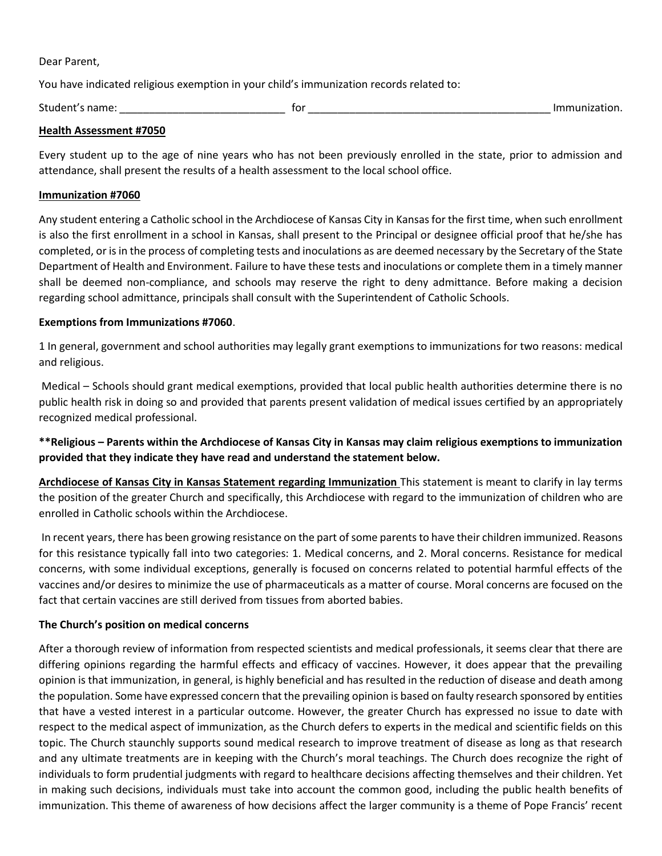Dear Parent,

You have indicated religious exemption in your child's immunization records related to:

Student's name: \_\_\_\_\_\_\_\_\_\_\_\_\_\_\_\_\_\_\_\_\_\_\_\_\_\_\_\_ for \_\_\_\_\_\_\_\_\_\_\_\_\_\_\_\_\_\_\_\_\_\_\_\_\_\_\_\_\_\_\_\_\_\_\_\_\_\_\_\_\_ Immunization.

#### **Health Assessment #7050**

Every student up to the age of nine years who has not been previously enrolled in the state, prior to admission and attendance, shall present the results of a health assessment to the local school office.

#### **Immunization #7060**

Any student entering a Catholic school in the Archdiocese of Kansas City in Kansas for the first time, when such enrollment is also the first enrollment in a school in Kansas, shall present to the Principal or designee official proof that he/she has completed, or is in the process of completing tests and inoculations as are deemed necessary by the Secretary of the State Department of Health and Environment. Failure to have these tests and inoculations or complete them in a timely manner shall be deemed non-compliance, and schools may reserve the right to deny admittance. Before making a decision regarding school admittance, principals shall consult with the Superintendent of Catholic Schools.

### **Exemptions from Immunizations #7060**.

1 In general, government and school authorities may legally grant exemptions to immunizations for two reasons: medical and religious.

Medical – Schools should grant medical exemptions, provided that local public health authorities determine there is no public health risk in doing so and provided that parents present validation of medical issues certified by an appropriately recognized medical professional.

**\*\*Religious – Parents within the Archdiocese of Kansas City in Kansas may claim religious exemptions to immunization provided that they indicate they have read and understand the statement below.** 

**Archdiocese of Kansas City in Kansas Statement regarding Immunization** This statement is meant to clarify in lay terms the position of the greater Church and specifically, this Archdiocese with regard to the immunization of children who are enrolled in Catholic schools within the Archdiocese.

In recent years, there has been growing resistance on the part of some parents to have their children immunized. Reasons for this resistance typically fall into two categories: 1. Medical concerns, and 2. Moral concerns. Resistance for medical concerns, with some individual exceptions, generally is focused on concerns related to potential harmful effects of the vaccines and/or desires to minimize the use of pharmaceuticals as a matter of course. Moral concerns are focused on the fact that certain vaccines are still derived from tissues from aborted babies.

### **The Church's position on medical concerns**

After a thorough review of information from respected scientists and medical professionals, it seems clear that there are differing opinions regarding the harmful effects and efficacy of vaccines. However, it does appear that the prevailing opinion is that immunization, in general, is highly beneficial and has resulted in the reduction of disease and death among the population. Some have expressed concern that the prevailing opinion is based on faulty research sponsored by entities that have a vested interest in a particular outcome. However, the greater Church has expressed no issue to date with respect to the medical aspect of immunization, as the Church defers to experts in the medical and scientific fields on this topic. The Church staunchly supports sound medical research to improve treatment of disease as long as that research and any ultimate treatments are in keeping with the Church's moral teachings. The Church does recognize the right of individuals to form prudential judgments with regard to healthcare decisions affecting themselves and their children. Yet in making such decisions, individuals must take into account the common good, including the public health benefits of immunization. This theme of awareness of how decisions affect the larger community is a theme of Pope Francis' recent